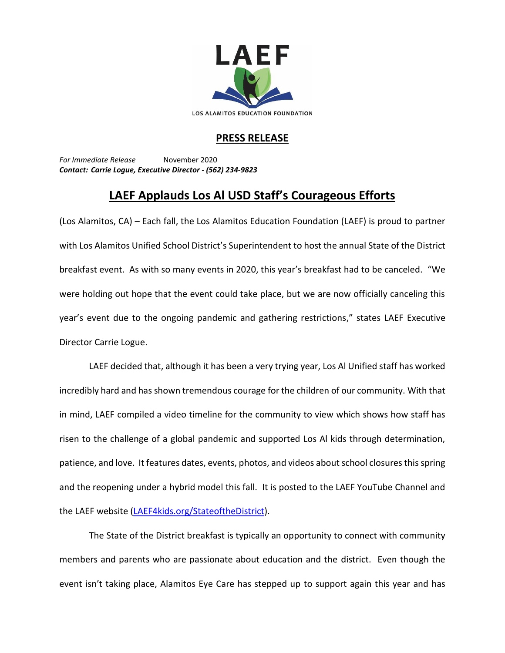

LOS ALAMITOS EDUCATION FOUNDATION

## **PRESS RELEASE**

*For Immediate Release* November 2020 *Contact: Carrie Logue, Executive Director - (562) 234-9823*

## **LAEF Applauds Los Al USD Staff's Courageous Efforts**

(Los Alamitos, CA) – Each fall, the Los Alamitos Education Foundation (LAEF) is proud to partner with Los Alamitos Unified School District's Superintendent to host the annual State of the District breakfast event. As with so many events in 2020, this year's breakfast had to be canceled. "We were holding out hope that the event could take place, but we are now officially canceling this year's event due to the ongoing pandemic and gathering restrictions," states LAEF Executive Director Carrie Logue.

LAEF decided that, although it has been a very trying year, Los Al Unified staff has worked incredibly hard and has shown tremendous courage for the children of our community. With that in mind, LAEF compiled a video timeline for the community to view which shows how staff has risen to the challenge of a global pandemic and supported Los Al kids through determination, patience, and love. It features dates, events, photos, and videos about school closures this spring and the reopening under a hybrid model this fall. It is posted to the LAEF YouTube Channel and the LAEF website [\(LAEF4kids.org/StateoftheDistrict\)](https://laef4kids.org/stateofthedistrict/).

The State of the District breakfast is typically an opportunity to connect with community members and parents who are passionate about education and the district. Even though the event isn't taking place, Alamitos Eye Care has stepped up to support again this year and has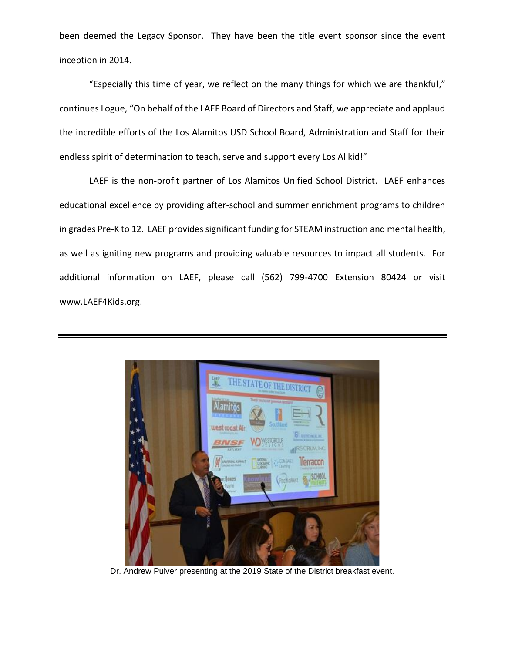been deemed the Legacy Sponsor. They have been the title event sponsor since the event inception in 2014.

"Especially this time of year, we reflect on the many things for which we are thankful," continues Logue, "On behalf of the LAEF Board of Directors and Staff, we appreciate and applaud the incredible efforts of the Los Alamitos USD School Board, Administration and Staff for their endless spirit of determination to teach, serve and support every Los Al kid!"

LAEF is the non-profit partner of Los Alamitos Unified School District. LAEF enhances educational excellence by providing after-school and summer enrichment programs to children in grades Pre-K to 12. LAEF provides significant funding for STEAM instruction and mental health, as well as igniting new programs and providing valuable resources to impact all students. For additional information on LAEF, please call (562) 799-4700 Extension 80424 or visit www.LAEF4Kids.org.



Dr. Andrew Pulver presenting at the 2019 State of the District breakfast event.